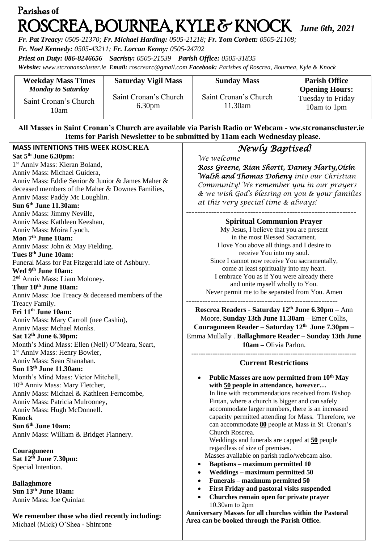# Parishes **of**  ROSCREA, BOURNEA, KYLE & KNOCK *June 6th, <sup>2021</sup>*

*Fr. Pat Treacy: 0505-21370; Fr. Michael Harding: 0505-21218; Fr. Tom Corbett: 0505-21108;* 

*Fr. Noel Kennedy: 0505-43211; Fr. Lorcan Kenny: 0505-24702*

*Priest on Duty: 086-8246656 Sacristy: 0505-21539 Parish Office: 0505-31835* 

*Website: [www.stcronanscluster.ie](http://www.stcronanscluster.ie/) Email: [roscrearc@gmail.com](mailto:roscrearc@gmail.com) Facebook: Parishes of Roscrea, Bournea, Kyle & Knock* 

| <b>Weekday Mass Times</b><br><b>Monday to Saturday</b> | <b>Saturday Vigil Mass</b> | <b>Sunday Mass</b>    | <b>Parish Office</b><br><b>Opening Hours:</b> |
|--------------------------------------------------------|----------------------------|-----------------------|-----------------------------------------------|
| Saint Cronan's Church                                  | Saint Cronan's Church      | Saint Cronan's Church | <b>Tuesday to Friday</b>                      |
| 10am                                                   | 6.30 <sub>pm</sub>         | 11.30am               | 10am to 1pm                                   |

#### **All Masses in Saint Cronan's Church are available via Parish Radio or Webcam - ww.stcronanscluster.ie Items for Parish Newsletter to be submitted by 11am each Wednesday please.**

| <b>MASS INTENTIONS THIS WEEK ROSCREA</b>          | Newly Baptised!                                           |
|---------------------------------------------------|-----------------------------------------------------------|
| Sat 5 <sup>th</sup> June 6.30pm:                  | We welcome                                                |
| 1 <sup>st</sup> Anniv Mass: Kieran Boland,        | Ross Greene, Rían Shortt, Danny Harty, Oísín              |
| Anniv Mass: Michael Guidera,                      | <b>Walsh and Thomas Doheny</b> into our Christian         |
| Anniv Mass: Eddie Senior & Junior & James Maher & |                                                           |
| deceased members of the Maher & Downes Families,  | Community! We remember you in our prayers                 |
| Anniv Mass: Paddy Mc Loughlin.                    | & we wish God's blessing on you & your families           |
| Sun 6th June 11.30am:                             | at this very special time & always!                       |
| Anniv Mass: Jimmy Neville,                        |                                                           |
| Anniv Mass: Kathleen Keeshan,                     | <b>Spiritual Communion Prayer</b>                         |
| Anniv Mass: Moira Lynch.                          | My Jesus, I believe that you are present                  |
| Mon 7 <sup>th</sup> June 10am:                    | in the most Blessed Sacrament.                            |
| Anniv Mass: John & May Fielding.                  | I love You above all things and I desire to               |
| Tues 8th June 10am:                               | receive You into my soul.                                 |
| Funeral Mass for Pat Fitzgerald late of Ashbury.  | Since I cannot now receive You sacramentally,             |
| Wed 9th June 10am:                                | come at least spiritually into my heart.                  |
| 2 <sup>nd</sup> Anniv Mass: Liam Moloney.         | I embrace You as if You were already there                |
| Thur 10th June 10am:                              | and unite myself wholly to You.                           |
| Anniv Mass: Joe Treacy & deceased members of the  | Never permit me to be separated from You. Amen            |
| Treacy Family.                                    |                                                           |
| Fri 11 <sup>th</sup> June 10am:                   | Roscrea Readers - Saturday 12th June 6.30pm - Ann         |
| Anniv Mass: Mary Carroll (nee Cashin),            | Moore, Sunday 13th June 11.30am - Emer Collis,            |
| Anniv Mass: Mchael Monks.                         | Couraguneen Reader – Saturday $12th$ June 7.30pm –        |
| Sat 12 <sup>th</sup> June 6.30pm:                 | Emma Mullally . Ballaghmore Reader - Sunday 13th June     |
| Month's Mind Mass: Ellen (Nell) O'Meara, Scart,   | 10am - Olivia Parlon.                                     |
| 1 <sup>st</sup> Anniv Mass: Henry Bowler,         |                                                           |
| Anniv Mass: Sean Shanahan.                        | <b>Current Restrictions</b>                               |
| Sun 13th June 11.30am:                            |                                                           |
| Month's Mind Mass: Victor Mitchell,               | Public Masses are now permitted from 10 <sup>th</sup> May |
| 10 <sup>th</sup> Anniv Mass: Mary Fletcher,       | with 50 people in attendance, however                     |
| Anniv Mass: Michael & Kathleen Ferncombe,         | In line with recommendations received from Bishop         |
| Anniv Mass: Patricia Mulrooney,                   | Fintan, where a church is bigger and can safely           |
| Anniv Mass: Hugh McDonnell.                       | accommodate larger numbers, there is an increased         |
| <b>Knock</b>                                      | capacity permitted attending for Mass. Therefore, we      |
| Sun 6th June 10am:                                | can accommodate 80 people at Mass in St. Cronan's         |
| Anniv Mass: William & Bridget Flannery.           | Church Roscrea.                                           |
|                                                   | Weddings and funerals are capped at 50 people             |
| Couraguneen                                       | regardless of size of premises.                           |
| Sat 12th June 7.30pm:                             | Masses available on parish radio/webcam also.             |
| Special Intention.                                | <b>Baptisms - maximum permitted 10</b>                    |
|                                                   | Weddings - maximum permitted 50<br>٠                      |
| <b>Ballaghmore</b>                                | Funerals – maximum permitted 50<br>٠                      |
| Sun 13th June 10am:                               | First Friday and pastoral visits suspended<br>٠           |
| Anniv Mass: Joe Quinlan                           | Churches remain open for private prayer<br>$\bullet$      |
|                                                   | 10.30am to 2pm                                            |
| We remember those who died recently including:    | Anniversary Masses for all churches within the Pastoral   |
| Michael (Mick) O'Shea - Shinrone                  | Area can be booked through the Parish Office.             |